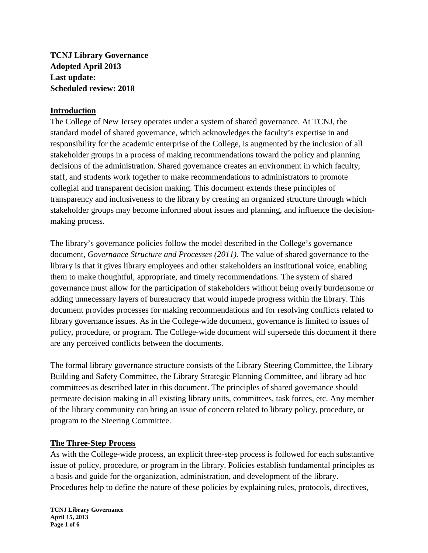**TCNJ Library Governance Adopted April 2013 Last update: Scheduled review: 2018** 

### **Introduction**

The College of New Jersey operates under a system of shared governance. At TCNJ, the standard model of shared governance, which acknowledges the faculty's expertise in and responsibility for the academic enterprise of the College, is augmented by the inclusion of all stakeholder groups in a process of making recommendations toward the policy and planning decisions of the administration. Shared governance creates an environment in which faculty, staff, and students work together to make recommendations to administrators to promote collegial and transparent decision making. This document extends these principles of transparency and inclusiveness to the library by creating an organized structure through which stakeholder groups may become informed about issues and planning, and influence the decisionmaking process.

The library's governance policies follow the model described in the College's governance document, *Governance Structure and Processes (2011).* The value of shared governance to the library is that it gives library employees and other stakeholders an institutional voice, enabling them to make thoughtful, appropriate, and timely recommendations. The system of shared governance must allow for the participation of stakeholders without being overly burdensome or adding unnecessary layers of bureaucracy that would impede progress within the library. This document provides processes for making recommendations and for resolving conflicts related to library governance issues. As in the College-wide document, governance is limited to issues of policy, procedure, or program. The College-wide document will supersede this document if there are any perceived conflicts between the documents.

The formal library governance structure consists of the Library Steering Committee, the Library Building and Safety Committee, the Library Strategic Planning Committee, and library ad hoc committees as described later in this document. The principles of shared governance should permeate decision making in all existing library units, committees, task forces, etc. Any member of the library community can bring an issue of concern related to library policy, procedure, or program to the Steering Committee.

### **The Three-Step Process**

As with the College-wide process, an explicit three-step process is followed for each substantive issue of policy, procedure, or program in the library. Policies establish fundamental principles as a basis and guide for the organization, administration, and development of the library. Procedures help to define the nature of these policies by explaining rules, protocols, directives,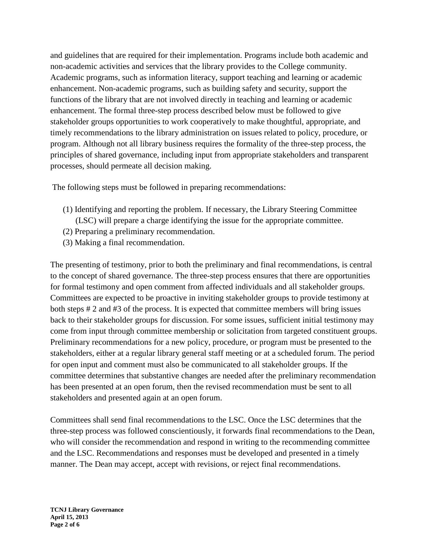and guidelines that are required for their implementation. Programs include both academic and non-academic activities and services that the library provides to the College community. Academic programs, such as information literacy, support teaching and learning or academic enhancement. Non-academic programs, such as building safety and security, support the functions of the library that are not involved directly in teaching and learning or academic enhancement. The formal three-step process described below must be followed to give stakeholder groups opportunities to work cooperatively to make thoughtful, appropriate, and timely recommendations to the library administration on issues related to policy, procedure, or program. Although not all library business requires the formality of the three-step process, the principles of shared governance, including input from appropriate stakeholders and transparent processes, should permeate all decision making.

The following steps must be followed in preparing recommendations:

- (1) Identifying and reporting the problem. If necessary, the Library Steering Committee (LSC) will prepare a charge identifying the issue for the appropriate committee.
- (2) Preparing a preliminary recommendation.
- (3) Making a final recommendation.

The presenting of testimony, prior to both the preliminary and final recommendations, is central to the concept of shared governance. The three-step process ensures that there are opportunities for formal testimony and open comment from affected individuals and all stakeholder groups. Committees are expected to be proactive in inviting stakeholder groups to provide testimony at both steps # 2 and #3 of the process. It is expected that committee members will bring issues back to their stakeholder groups for discussion. For some issues, sufficient initial testimony may come from input through committee membership or solicitation from targeted constituent groups. Preliminary recommendations for a new policy, procedure, or program must be presented to the stakeholders, either at a regular library general staff meeting or at a scheduled forum. The period for open input and comment must also be communicated to all stakeholder groups. If the committee determines that substantive changes are needed after the preliminary recommendation has been presented at an open forum, then the revised recommendation must be sent to all stakeholders and presented again at an open forum.

Committees shall send final recommendations to the LSC. Once the LSC determines that the three-step process was followed conscientiously, it forwards final recommendations to the Dean, who will consider the recommendation and respond in writing to the recommending committee and the LSC. Recommendations and responses must be developed and presented in a timely manner. The Dean may accept, accept with revisions, or reject final recommendations.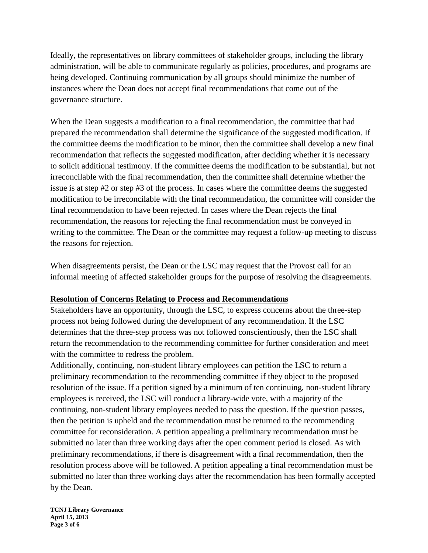Ideally, the representatives on library committees of stakeholder groups, including the library administration, will be able to communicate regularly as policies, procedures, and programs are being developed. Continuing communication by all groups should minimize the number of instances where the Dean does not accept final recommendations that come out of the governance structure.

When the Dean suggests a modification to a final recommendation, the committee that had prepared the recommendation shall determine the significance of the suggested modification. If the committee deems the modification to be minor, then the committee shall develop a new final recommendation that reflects the suggested modification, after deciding whether it is necessary to solicit additional testimony. If the committee deems the modification to be substantial, but not irreconcilable with the final recommendation, then the committee shall determine whether the issue is at step #2 or step #3 of the process. In cases where the committee deems the suggested modification to be irreconcilable with the final recommendation, the committee will consider the final recommendation to have been rejected. In cases where the Dean rejects the final recommendation, the reasons for rejecting the final recommendation must be conveyed in writing to the committee. The Dean or the committee may request a follow-up meeting to discuss the reasons for rejection.

When disagreements persist, the Dean or the LSC may request that the Provost call for an informal meeting of affected stakeholder groups for the purpose of resolving the disagreements.

### **Resolution of Concerns Relating to Process and Recommendations**

Stakeholders have an opportunity, through the LSC, to express concerns about the three-step process not being followed during the development of any recommendation. If the LSC determines that the three-step process was not followed conscientiously, then the LSC shall return the recommendation to the recommending committee for further consideration and meet with the committee to redress the problem.

Additionally, continuing, non-student library employees can petition the LSC to return a preliminary recommendation to the recommending committee if they object to the proposed resolution of the issue. If a petition signed by a minimum of ten continuing, non-student library employees is received, the LSC will conduct a library-wide vote, with a majority of the continuing, non-student library employees needed to pass the question. If the question passes, then the petition is upheld and the recommendation must be returned to the recommending committee for reconsideration. A petition appealing a preliminary recommendation must be submitted no later than three working days after the open comment period is closed. As with preliminary recommendations, if there is disagreement with a final recommendation, then the resolution process above will be followed. A petition appealing a final recommendation must be submitted no later than three working days after the recommendation has been formally accepted by the Dean.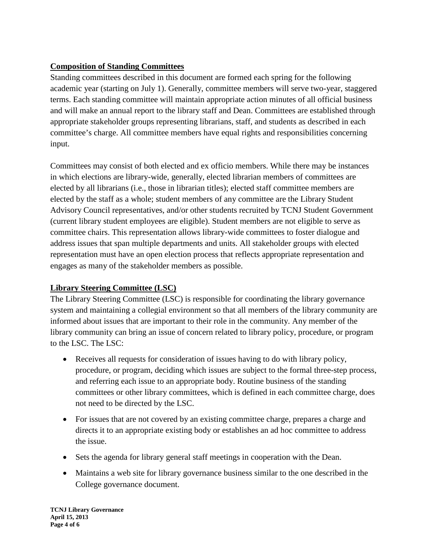# **Composition of Standing Committees**

Standing committees described in this document are formed each spring for the following academic year (starting on July 1). Generally, committee members will serve two-year, staggered terms. Each standing committee will maintain appropriate action minutes of all official business and will make an annual report to the library staff and Dean. Committees are established through appropriate stakeholder groups representing librarians, staff, and students as described in each committee's charge. All committee members have equal rights and responsibilities concerning input.

Committees may consist of both elected and ex officio members. While there may be instances in which elections are library-wide, generally, elected librarian members of committees are elected by all librarians (i.e., those in librarian titles); elected staff committee members are elected by the staff as a whole; student members of any committee are the Library Student Advisory Council representatives, and/or other students recruited by TCNJ Student Government (current library student employees are eligible). Student members are not eligible to serve as committee chairs. This representation allows library-wide committees to foster dialogue and address issues that span multiple departments and units. All stakeholder groups with elected representation must have an open election process that reflects appropriate representation and engages as many of the stakeholder members as possible.

# **Library Steering Committee (LSC)**

The Library Steering Committee (LSC) is responsible for coordinating the library governance system and maintaining a collegial environment so that all members of the library community are informed about issues that are important to their role in the community. Any member of the library community can bring an issue of concern related to library policy, procedure, or program to the LSC. The LSC:

- Receives all requests for consideration of issues having to do with library policy, procedure, or program, deciding which issues are subject to the formal three-step process, and referring each issue to an appropriate body. Routine business of the standing committees or other library committees, which is defined in each committee charge, does not need to be directed by the LSC.
- For issues that are not covered by an existing committee charge, prepares a charge and directs it to an appropriate existing body or establishes an ad hoc committee to address the issue.
- Sets the agenda for library general staff meetings in cooperation with the Dean.
- Maintains a web site for library governance business similar to the one described in the College governance document.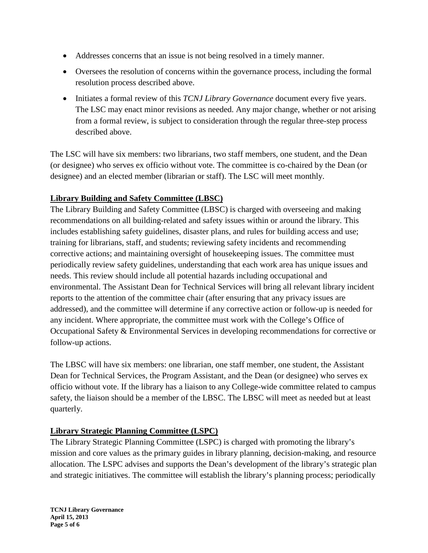- Addresses concerns that an issue is not being resolved in a timely manner.
- Oversees the resolution of concerns within the governance process, including the formal resolution process described above.
- Initiates a formal review of this *TCNJ Library Governance* document every five years. The LSC may enact minor revisions as needed. Any major change, whether or not arising from a formal review, is subject to consideration through the regular three-step process described above.

The LSC will have six members: two librarians, two staff members, one student, and the Dean (or designee) who serves ex officio without vote. The committee is co-chaired by the Dean (or designee) and an elected member (librarian or staff). The LSC will meet monthly.

## **Library Building and Safety Committee (LBSC)**

The Library Building and Safety Committee (LBSC) is charged with overseeing and making recommendations on all building-related and safety issues within or around the library. This includes establishing safety guidelines, disaster plans, and rules for building access and use; training for librarians, staff, and students; reviewing safety incidents and recommending corrective actions; and maintaining oversight of housekeeping issues. The committee must periodically review safety guidelines, understanding that each work area has unique issues and needs. This review should include all potential hazards including occupational and environmental. The Assistant Dean for Technical Services will bring all relevant library incident reports to the attention of the committee chair (after ensuring that any privacy issues are addressed), and the committee will determine if any corrective action or follow-up is needed for any incident. Where appropriate, the committee must work with the College's Office of Occupational Safety & Environmental Services in developing recommendations for corrective or follow-up actions.

The LBSC will have six members: one librarian, one staff member, one student, the Assistant Dean for Technical Services, the Program Assistant, and the Dean (or designee) who serves ex officio without vote. If the library has a liaison to any College-wide committee related to campus safety, the liaison should be a member of the LBSC. The LBSC will meet as needed but at least quarterly.

### **Library Strategic Planning Committee (LSPC)**

The Library Strategic Planning Committee (LSPC) is charged with promoting the library's mission and core values as the primary guides in library planning, decision-making, and resource allocation. The LSPC advises and supports the Dean's development of the library's strategic plan and strategic initiatives. The committee will establish the library's planning process; periodically